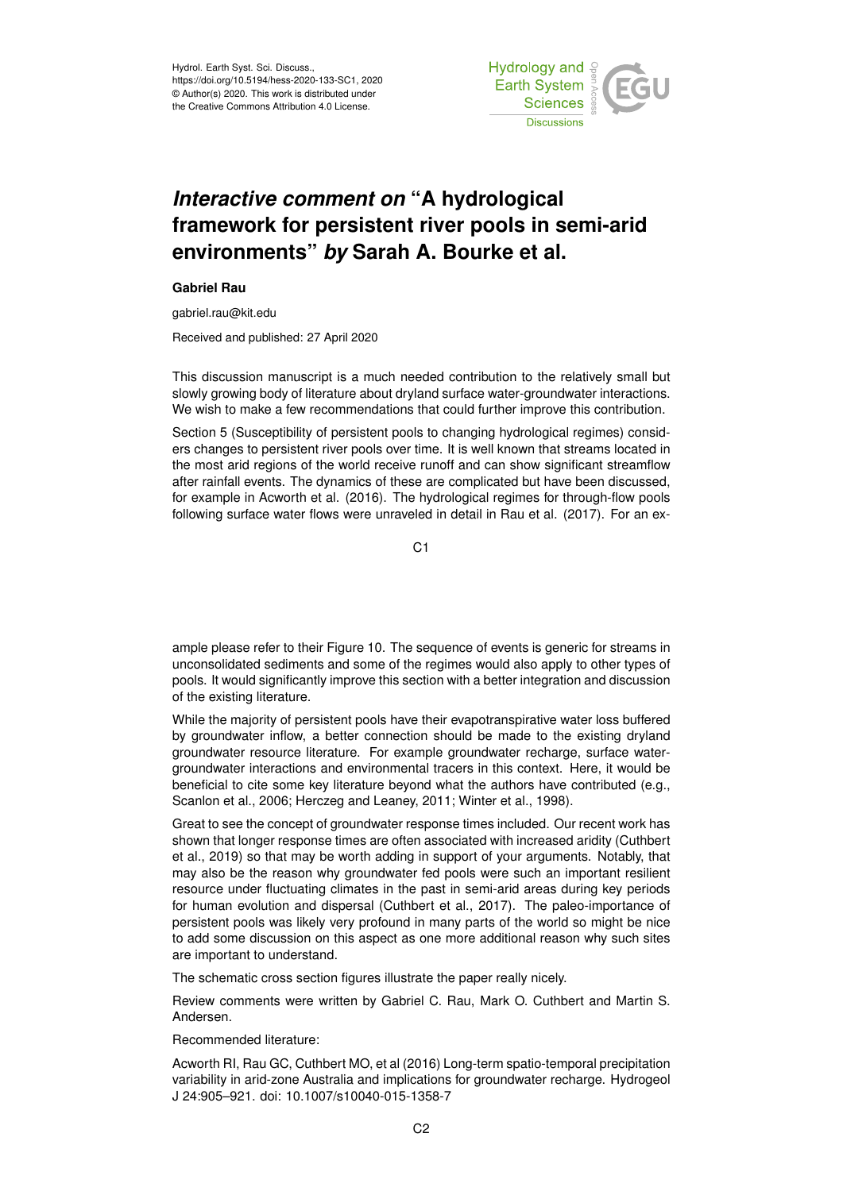Hydrol. Earth Syst. Sci. Discuss., https://doi.org/10.5194/hess-2020-133-SC1, 2020 © Author(s) 2020. This work is distributed under the Creative Commons Attribution 4.0 License.



## *Interactive comment on* **"A hydrological framework for persistent river pools in semi-arid environments"** *by* **Sarah A. Bourke et al.**

## **Gabriel Rau**

gabriel.rau@kit.edu

Received and published: 27 April 2020

This discussion manuscript is a much needed contribution to the relatively small but slowly growing body of literature about dryland surface water-groundwater interactions. We wish to make a few recommendations that could further improve this contribution.

Section 5 (Susceptibility of persistent pools to changing hydrological regimes) considers changes to persistent river pools over time. It is well known that streams located in the most arid regions of the world receive runoff and can show significant streamflow after rainfall events. The dynamics of these are complicated but have been discussed, for example in Acworth et al. (2016). The hydrological regimes for through-flow pools following surface water flows were unraveled in detail in Rau et al. (2017). For an ex-

C<sub>1</sub>

ample please refer to their Figure 10. The sequence of events is generic for streams in unconsolidated sediments and some of the regimes would also apply to other types of pools. It would significantly improve this section with a better integration and discussion of the existing literature.

While the majority of persistent pools have their evapotranspirative water loss buffered by groundwater inflow, a better connection should be made to the existing dryland groundwater resource literature. For example groundwater recharge, surface watergroundwater interactions and environmental tracers in this context. Here, it would be beneficial to cite some key literature beyond what the authors have contributed (e.g., Scanlon et al., 2006; Herczeg and Leaney, 2011; Winter et al., 1998).

Great to see the concept of groundwater response times included. Our recent work has shown that longer response times are often associated with increased aridity (Cuthbert et al., 2019) so that may be worth adding in support of your arguments. Notably, that may also be the reason why groundwater fed pools were such an important resilient resource under fluctuating climates in the past in semi-arid areas during key periods for human evolution and dispersal (Cuthbert et al., 2017). The paleo-importance of persistent pools was likely very profound in many parts of the world so might be nice to add some discussion on this aspect as one more additional reason why such sites are important to understand.

The schematic cross section figures illustrate the paper really nicely.

Review comments were written by Gabriel C. Rau, Mark O. Cuthbert and Martin S. Andersen.

Recommended literature:

Acworth RI, Rau GC, Cuthbert MO, et al (2016) Long-term spatio-temporal precipitation variability in arid-zone Australia and implications for groundwater recharge. Hydrogeol J 24:905–921. doi: 10.1007/s10040-015-1358-7